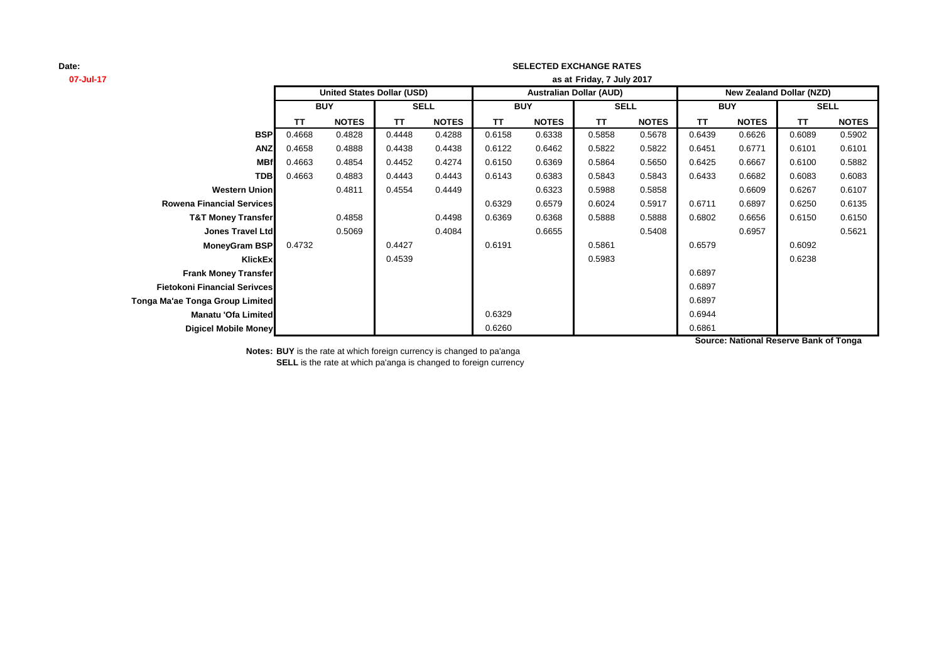## **SELECTED EXCHANGE RATES**

| 07-Jul-17                           | as at Friday, 7 July 2017         |              |           |              |                                |              |        |              |                                 |              |           |              |
|-------------------------------------|-----------------------------------|--------------|-----------|--------------|--------------------------------|--------------|--------|--------------|---------------------------------|--------------|-----------|--------------|
|                                     | <b>United States Dollar (USD)</b> |              |           |              | <b>Australian Dollar (AUD)</b> |              |        |              | <b>New Zealand Dollar (NZD)</b> |              |           |              |
|                                     | <b>BUY</b>                        |              |           | <b>SELL</b>  |                                | <b>BUY</b>   |        | <b>SELL</b>  |                                 | <b>BUY</b>   |           | <b>SELL</b>  |
|                                     | <b>TT</b>                         | <b>NOTES</b> | <b>TT</b> | <b>NOTES</b> | ΤT                             | <b>NOTES</b> | TT.    | <b>NOTES</b> | <b>TT</b>                       | <b>NOTES</b> | <b>TT</b> | <b>NOTES</b> |
| <b>BSP</b>                          | 0.4668                            | 0.4828       | 0.4448    | 0.4288       | 0.6158                         | 0.6338       | 0.5858 | 0.5678       | 0.6439                          | 0.6626       | 0.6089    | 0.5902       |
| <b>ANZ</b>                          | 0.4658                            | 0.4888       | 0.4438    | 0.4438       | 0.6122                         | 0.6462       | 0.5822 | 0.5822       | 0.6451                          | 0.6771       | 0.6101    | 0.6101       |
| <b>MBf</b>                          | 0.4663                            | 0.4854       | 0.4452    | 0.4274       | 0.6150                         | 0.6369       | 0.5864 | 0.5650       | 0.6425                          | 0.6667       | 0.6100    | 0.5882       |
| <b>TDB</b>                          | 0.4663                            | 0.4883       | 0.4443    | 0.4443       | 0.6143                         | 0.6383       | 0.5843 | 0.5843       | 0.6433                          | 0.6682       | 0.6083    | 0.6083       |
| <b>Western Union</b>                |                                   | 0.4811       | 0.4554    | 0.4449       |                                | 0.6323       | 0.5988 | 0.5858       |                                 | 0.6609       | 0.6267    | 0.6107       |
| <b>Rowena Financial Services</b>    |                                   |              |           |              | 0.6329                         | 0.6579       | 0.6024 | 0.5917       | 0.6711                          | 0.6897       | 0.6250    | 0.6135       |
| <b>T&amp;T Money Transfer</b>       |                                   | 0.4858       |           | 0.4498       | 0.6369                         | 0.6368       | 0.5888 | 0.5888       | 0.6802                          | 0.6656       | 0.6150    | 0.6150       |
| <b>Jones Travel Ltd</b>             |                                   | 0.5069       |           | 0.4084       |                                | 0.6655       |        | 0.5408       |                                 | 0.6957       |           | 0.5621       |
| <b>MoneyGram BSP</b>                | 0.4732                            |              | 0.4427    |              | 0.6191                         |              | 0.5861 |              | 0.6579                          |              | 0.6092    |              |
| <b>KlickEx</b>                      |                                   |              | 0.4539    |              |                                |              | 0.5983 |              |                                 |              | 0.6238    |              |
| <b>Frank Money Transfer</b>         |                                   |              |           |              |                                |              |        |              | 0.6897                          |              |           |              |
| <b>Fietokoni Financial Serivces</b> |                                   |              |           |              |                                |              |        |              | 0.6897                          |              |           |              |
| Tonga Ma'ae Tonga Group Limited     |                                   |              |           |              |                                |              |        |              | 0.6897                          |              |           |              |
| <b>Manatu 'Ofa Limited</b>          |                                   |              |           |              | 0.6329                         |              |        |              | 0.6944                          |              |           |              |
| Digicel Mobile Money                |                                   |              |           |              | 0.6260                         |              |        |              | 0.6861                          |              |           |              |

**Source: National Reserve Bank of Tonga**

**Notes: BUY** is the rate at which foreign currency is changed to pa'anga **SELL** is the rate at which pa'anga is changed to foreign currency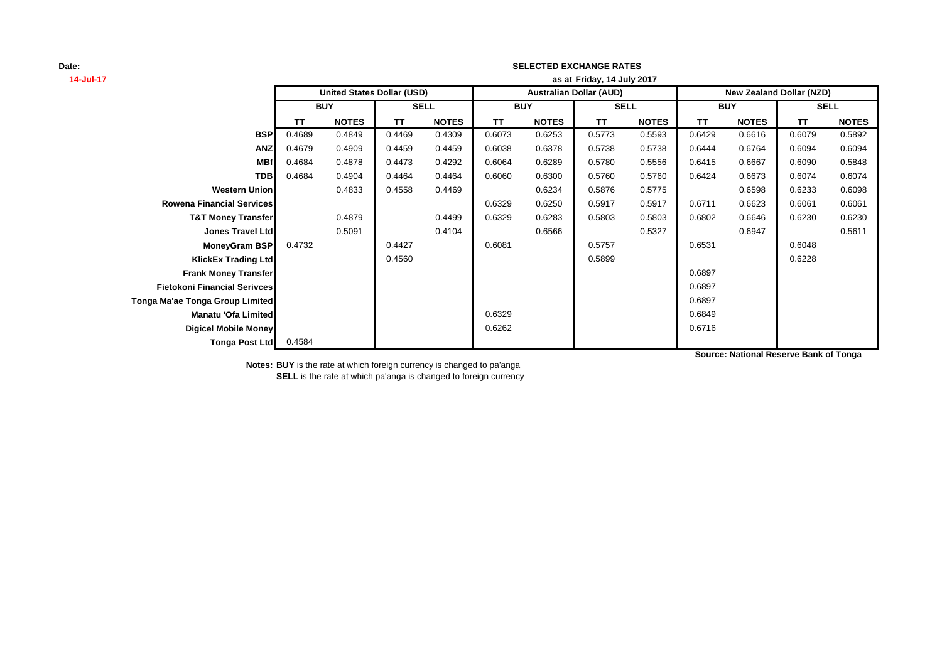## **SELECTED EXCHANGE RATES**

| 14-Jul-17                           | as at Friday, 14 July 2017 |                                   |             |              |                                |              |             |              |                                 |              |             |              |  |
|-------------------------------------|----------------------------|-----------------------------------|-------------|--------------|--------------------------------|--------------|-------------|--------------|---------------------------------|--------------|-------------|--------------|--|
|                                     |                            | <b>United States Dollar (USD)</b> |             |              | <b>Australian Dollar (AUD)</b> |              |             |              | <b>New Zealand Dollar (NZD)</b> |              |             |              |  |
|                                     | <b>BUY</b>                 |                                   | <b>SELL</b> |              | <b>BUY</b>                     |              | <b>SELL</b> |              | <b>BUY</b>                      |              | <b>SELL</b> |              |  |
|                                     | <b>TT</b>                  | <b>NOTES</b>                      | <b>TT</b>   | <b>NOTES</b> | <b>TT</b>                      | <b>NOTES</b> | <b>TT</b>   | <b>NOTES</b> | <b>TT</b>                       | <b>NOTES</b> | <b>TT</b>   | <b>NOTES</b> |  |
| <b>BSP</b>                          | 0.4689                     | 0.4849                            | 0.4469      | 0.4309       | 0.6073                         | 0.6253       | 0.5773      | 0.5593       | 0.6429                          | 0.6616       | 0.6079      | 0.5892       |  |
| <b>ANZ</b>                          | 0.4679                     | 0.4909                            | 0.4459      | 0.4459       | 0.6038                         | 0.6378       | 0.5738      | 0.5738       | 0.6444                          | 0.6764       | 0.6094      | 0.6094       |  |
| <b>MBf</b>                          | 0.4684                     | 0.4878                            | 0.4473      | 0.4292       | 0.6064                         | 0.6289       | 0.5780      | 0.5556       | 0.6415                          | 0.6667       | 0.6090      | 0.5848       |  |
| <b>TDB</b>                          | 0.4684                     | 0.4904                            | 0.4464      | 0.4464       | 0.6060                         | 0.6300       | 0.5760      | 0.5760       | 0.6424                          | 0.6673       | 0.6074      | 0.6074       |  |
| <b>Western Union</b>                |                            | 0.4833                            | 0.4558      | 0.4469       |                                | 0.6234       | 0.5876      | 0.5775       |                                 | 0.6598       | 0.6233      | 0.6098       |  |
| <b>Rowena Financial Services</b>    |                            |                                   |             |              | 0.6329                         | 0.6250       | 0.5917      | 0.5917       | 0.6711                          | 0.6623       | 0.6061      | 0.6061       |  |
| <b>T&amp;T Money Transfer</b>       |                            | 0.4879                            |             | 0.4499       | 0.6329                         | 0.6283       | 0.5803      | 0.5803       | 0.6802                          | 0.6646       | 0.6230      | 0.6230       |  |
| <b>Jones Travel Ltd</b>             |                            | 0.5091                            |             | 0.4104       |                                | 0.6566       |             | 0.5327       |                                 | 0.6947       |             | 0.5611       |  |
| MoneyGram BSP                       | 0.4732                     |                                   | 0.4427      |              | 0.6081                         |              | 0.5757      |              | 0.6531                          |              | 0.6048      |              |  |
| <b>KlickEx Trading Ltd</b>          |                            |                                   | 0.4560      |              |                                |              | 0.5899      |              |                                 |              | 0.6228      |              |  |
| <b>Frank Money Transfer</b>         |                            |                                   |             |              |                                |              |             |              | 0.6897                          |              |             |              |  |
| <b>Fietokoni Financial Serivces</b> |                            |                                   |             |              |                                |              |             |              | 0.6897                          |              |             |              |  |
| Tonga Ma'ae Tonga Group Limited     |                            |                                   |             |              |                                |              |             |              | 0.6897                          |              |             |              |  |
| <b>Manatu 'Ofa Limited</b>          |                            |                                   |             |              | 0.6329                         |              |             |              | 0.6849                          |              |             |              |  |
| Digicel Mobile Money                |                            |                                   |             |              | 0.6262                         |              |             |              | 0.6716                          |              |             |              |  |
| <b>Tonga Post Ltd</b>               | 0.4584                     |                                   |             |              |                                |              |             |              |                                 |              |             |              |  |

**Source: National Reserve Bank of Tonga**

**Notes: BUY** is the rate at which foreign currency is changed to pa'anga

**SELL** is the rate at which pa'anga is changed to foreign currency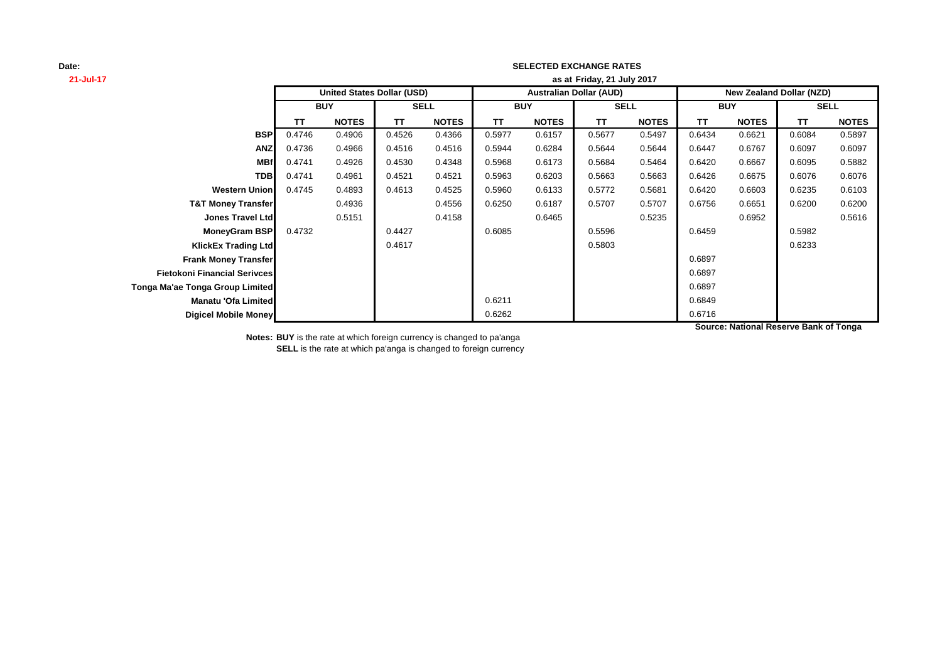## **SELECTED EXCHANGE RATES**

| 21-Jul-17                           |            |                                   |             |              | as at Friday, 21 July 2017     |              |             |              |                                 |              |           |              |
|-------------------------------------|------------|-----------------------------------|-------------|--------------|--------------------------------|--------------|-------------|--------------|---------------------------------|--------------|-----------|--------------|
|                                     |            | <b>United States Dollar (USD)</b> |             |              | <b>Australian Dollar (AUD)</b> |              |             |              | <b>New Zealand Dollar (NZD)</b> |              |           |              |
|                                     | <b>BUY</b> |                                   | <b>SELL</b> |              | <b>BUY</b>                     |              | <b>SELL</b> |              | <b>BUY</b>                      |              |           | <b>SELL</b>  |
|                                     | <b>TT</b>  | <b>NOTES</b>                      | <b>TT</b>   | <b>NOTES</b> | <b>TT</b>                      | <b>NOTES</b> | <b>TT</b>   | <b>NOTES</b> | ΤT                              | <b>NOTES</b> | <b>TT</b> | <b>NOTES</b> |
| <b>BSP</b>                          | 0.4746     | 0.4906                            | 0.4526      | 0.4366       | 0.5977                         | 0.6157       | 0.5677      | 0.5497       | 0.6434                          | 0.6621       | 0.6084    | 0.5897       |
| <b>ANZ</b>                          | 0.4736     | 0.4966                            | 0.4516      | 0.4516       | 0.5944                         | 0.6284       | 0.5644      | 0.5644       | 0.6447                          | 0.6767       | 0.6097    | 0.6097       |
| <b>MBf</b>                          | 0.4741     | 0.4926                            | 0.4530      | 0.4348       | 0.5968                         | 0.6173       | 0.5684      | 0.5464       | 0.6420                          | 0.6667       | 0.6095    | 0.5882       |
| <b>TDB</b>                          | 0.4741     | 0.4961                            | 0.4521      | 0.4521       | 0.5963                         | 0.6203       | 0.5663      | 0.5663       | 0.6426                          | 0.6675       | 0.6076    | 0.6076       |
| <b>Western Union</b>                | 0.4745     | 0.4893                            | 0.4613      | 0.4525       | 0.5960                         | 0.6133       | 0.5772      | 0.5681       | 0.6420                          | 0.6603       | 0.6235    | 0.6103       |
| <b>T&amp;T Money Transfer</b>       |            | 0.4936                            |             | 0.4556       | 0.6250                         | 0.6187       | 0.5707      | 0.5707       | 0.6756                          | 0.6651       | 0.6200    | 0.6200       |
| <b>Jones Travel Ltd</b>             |            | 0.5151                            |             | 0.4158       |                                | 0.6465       |             | 0.5235       |                                 | 0.6952       |           | 0.5616       |
| <b>MoneyGram BSP</b>                | 0.4732     |                                   | 0.4427      |              | 0.6085                         |              | 0.5596      |              | 0.6459                          |              | 0.5982    |              |
| <b>KlickEx Trading Ltd</b>          |            |                                   | 0.4617      |              |                                |              | 0.5803      |              |                                 |              | 0.6233    |              |
| <b>Frank Money Transfer</b>         |            |                                   |             |              |                                |              |             |              | 0.6897                          |              |           |              |
| <b>Fietokoni Financial Serivces</b> |            |                                   |             |              |                                |              |             |              | 0.6897                          |              |           |              |
| Tonga Ma'ae Tonga Group Limited     |            |                                   |             |              |                                |              |             |              | 0.6897                          |              |           |              |
| <b>Manatu 'Ofa Limited</b>          |            |                                   |             |              | 0.6211                         |              |             |              | 0.6849                          |              |           |              |
| <b>Digicel Mobile Money</b>         |            |                                   |             |              | 0.6262                         |              |             |              | 0.6716                          |              |           |              |

**Source: National Reserve Bank of Tonga**

**Notes: BUY** is the rate at which foreign currency is changed to pa'anga

**SELL** is the rate at which pa'anga is changed to foreign currency